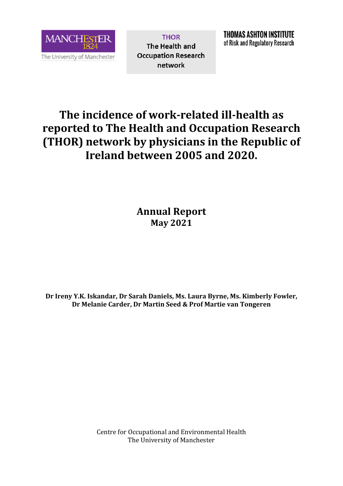

**THOR** The Health and **Occupation Research** network

## **The incidence of work-related ill-health as reported to The Health and Occupation Research (THOR) network by physicians in the Republic of Ireland between 2005 and 2020.**

**Annual Report May 2021**

**Dr Ireny Y.K. Iskandar, Dr Sarah Daniels, Ms. Laura Byrne, Ms. Kimberly Fowler, Dr Melanie Carder, Dr Martin Seed & Prof Martie van Tongeren**

> Centre for Occupational and Environmental Health The University of Manchester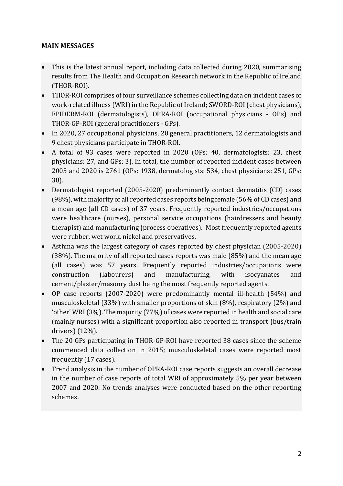## **MAIN MESSAGES**

- This is the latest annual report, including data collected during 2020, summarising results from The Health and Occupation Research network in the Republic of Ireland (THOR-ROI).
- THOR-ROI comprises of four surveillance schemes collecting data on incident cases of work-related illness (WRI) in the Republic of Ireland; SWORD-ROI (chest physicians), EPIDERM-ROI (dermatologists), OPRA-ROI (occupational physicians - OPs) and THOR-GP-ROI (general practitioners - GPs).
- In 2020, 27 occupational physicians, 20 general practitioners, 12 dermatologists and 9 chest physicians participate in THOR-ROI.
- A total of 93 cases were reported in 2020 (OPs: 40, dermatologists: 23, chest physicians: 27, and GPs: 3). In total, the number of reported incident cases between 2005 and 2020 is 2761 (OPs: 1938, dermatologists: 534, chest physicians: 251, GPs: 38).
- Dermatologist reported (2005-2020) predominantly contact dermatitis (CD) cases (98%), with majority of all reported cases reports being female (56% of CD cases) and a mean age (all CD cases) of 37 years. Frequently reported industries/occupations were healthcare (nurses), personal service occupations (hairdressers and beauty therapist) and manufacturing (process operatives). Most frequently reported agents were rubber, wet work, nickel and preservatives.
- Asthma was the largest category of cases reported by chest physician (2005-2020) (38%). The majority of all reported cases reports was male (85%) and the mean age (all cases) was 57 years. Frequently reported industries/occupations were construction (labourers) and manufacturing, with isocyanates and cement/plaster/masonry dust being the most frequently reported agents.
- OP case reports (2007-2020) were predominantly mental ill-health (54%) and musculoskeletal (33%) with smaller proportions of skin (8%), respiratory (2%) and 'other' WRI (3%). The majority (77%) of cases were reported in health and social care (mainly nurses) with a significant proportion also reported in transport (bus/train drivers) (12%).
- The 20 GPs participating in THOR-GP-ROI have reported 38 cases since the scheme commenced data collection in 2015; musculoskeletal cases were reported most frequently (17 cases).
- Trend analysis in the number of OPRA-ROI case reports suggests an overall decrease in the number of case reports of total WRI of approximately 5% per year between 2007 and 2020. No trends analyses were conducted based on the other reporting schemes.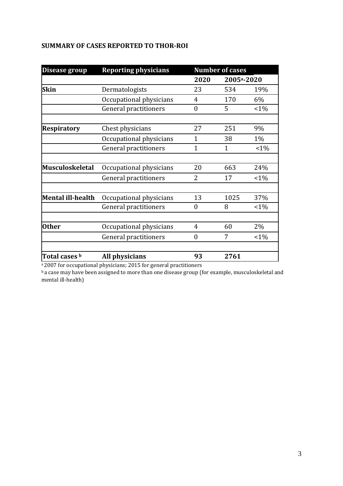| Disease group      | <b>Reporting physicians</b>  | <b>Number of cases</b> |                         |         |
|--------------------|------------------------------|------------------------|-------------------------|---------|
|                    |                              | 2020                   | 2005 <sup>a</sup> -2020 |         |
| <b>Skin</b>        | Dermatologists               | 23                     | 534                     | 19%     |
|                    | Occupational physicians      | 4                      | 170                     | 6%      |
|                    | <b>General practitioners</b> | 0                      | 5                       | $1\%$   |
| <b>Respiratory</b> | Chest physicians             | 27                     | 251                     | 9%      |
|                    | Occupational physicians      | $\mathbf{1}$           | 38                      | $1\%$   |
|                    | General practitioners        | $\mathbf{1}$           | $\mathbf 1$             | $1\%$   |
|                    |                              |                        |                         |         |
| Musculoskeletal    | Occupational physicians      | 20                     | 663                     | 24%     |
|                    | General practitioners        | 2                      | 17                      | $1\%$   |
| Mental ill-health  | Occupational physicians      | 13                     | 1025                    | 37%     |
|                    | General practitioners        | $\mathbf{0}$           | 8                       | $1\%$   |
|                    |                              |                        |                         |         |
| <b>Other</b>       | Occupational physicians      | $\overline{4}$         | 60                      | 2%      |
|                    | General practitioners        | $\overline{0}$         | 7                       | $< 1\%$ |
| Total cases b      | All physicians               | 93                     | 2761                    |         |

## **SUMMARY OF CASES REPORTED TO THOR-ROI**

a<sub>2007</sub> for occupational physicians; 2015 for general practitioners

ba case may have been assigned to more than one disease group (for example, musculoskeletal and mental ill-health)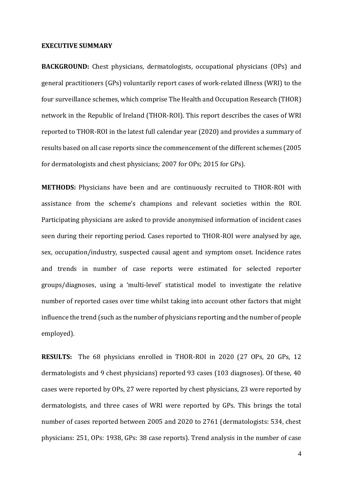## **EXECUTIVE SUMMARY**

**BACKGROUND:** Chest physicians, dermatologists, occupational physicians (OPs) and general practitioners (GPs) voluntarily report cases of work-related illness (WRI) to the four surveillance schemes, which comprise The Health and Occupation Research (THOR) network in the Republic of Ireland (THOR-ROI). This report describes the cases of WRI reported to THOR-ROI in the latest full calendar year (2020) and provides a summary of results based on all case reports since the commencement of the different schemes (2005 for dermatologists and chest physicians; 2007 for OPs; 2015 for GPs).

**METHODS:** Physicians have been and are continuously recruited to THOR-ROI with assistance from the scheme's champions and relevant societies within the ROI. Participating physicians are asked to provide anonymised information of incident cases seen during their reporting period. Cases reported to THOR-ROI were analysed by age, sex, occupation/industry, suspected causal agent and symptom onset. Incidence rates and trends in number of case reports were estimated for selected reporter groups/diagnoses, using a 'multi-level' statistical model to investigate the relative number of reported cases over time whilst taking into account other factors that might influence the trend (such as the number of physicians reporting and the number of people employed).

**RESULTS:** The 68 physicians enrolled in THOR-ROI in 2020 (27 OPs, 20 GPs, 12 dermatologists and 9 chest physicians) reported 93 cases (103 diagnoses). Of these, 40 cases were reported by OPs, 27 were reported by chest physicians, 23 were reported by dermatologists, and three cases of WRI were reported by GPs. This brings the total number of cases reported between 2005 and 2020 to 2761 (dermatologists: 534, chest physicians: 251, OPs: 1938, GPs: 38 case reports). Trend analysis in the number of case

4